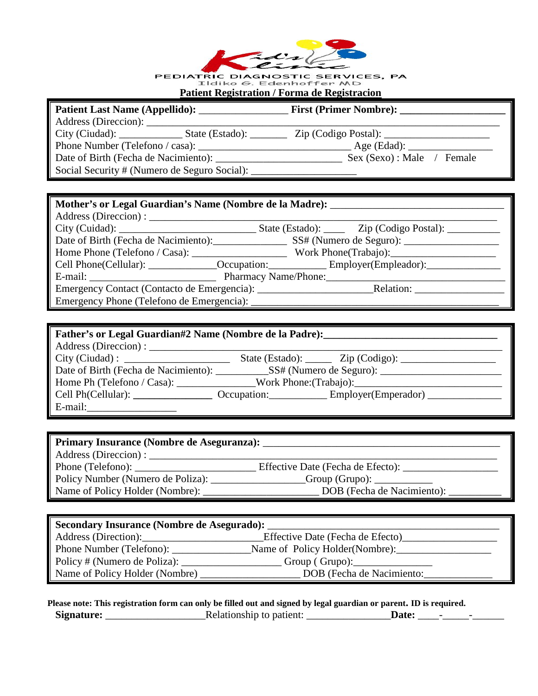|  | $z$ dist |        |
|--|----------|--------|
|  |          | $\sim$ |
|  |          |        |
|  |          |        |

**PEDIATRIC DIAGNOSTIC SERVICES, PA<br>Eldiko G. Edenhoffer MD<br>Patient Registration / Forma de Registracion** 

| Patient Last Name (Appellido):       |                                              | <b>First (Primer Nombre):</b> |  |
|--------------------------------------|----------------------------------------------|-------------------------------|--|
| Address (Direccion):                 |                                              |                               |  |
|                                      |                                              |                               |  |
| Phone Number (Telefono / casa):      |                                              | Age (Edad):                   |  |
| Date of Birth (Fecha de Nacimiento): |                                              | Sex (Sexo) : Male<br>Female   |  |
|                                      | Social Security # (Numero de Seguro Social): |                               |  |

| Mother's or Legal Guardian's Name (Nombre de la Madre): _________________________                   |  |  |
|-----------------------------------------------------------------------------------------------------|--|--|
| Address (Direccion) :                                                                               |  |  |
|                                                                                                     |  |  |
|                                                                                                     |  |  |
|                                                                                                     |  |  |
| Cell Phone(Cellular): _______________Occupation: _________________Employer(Empleador): ____________ |  |  |
|                                                                                                     |  |  |
|                                                                                                     |  |  |
|                                                                                                     |  |  |

| Father's or Legal Guardian#2 Name (Nombre de la Padre):                           |  |                                                                                                     |
|-----------------------------------------------------------------------------------|--|-----------------------------------------------------------------------------------------------------|
|                                                                                   |  |                                                                                                     |
|                                                                                   |  | State (Estado): $\_\_\_\_\_$ Zip (Codigo): $\_\_\_\_\_\_\_\_\_\_$                                   |
|                                                                                   |  |                                                                                                     |
| Home Ph (Telefono / Casa): ______________Work Phone: (Trabajo): _________________ |  |                                                                                                     |
|                                                                                   |  | Cell Ph(Cellular): ______________________ Occupation: _____________ Employer(Emperador) ___________ |
| $E$ -mail:                                                                        |  |                                                                                                     |

| Primary Insurance (Nombre de Aseguranza): |                                   |  |
|-------------------------------------------|-----------------------------------|--|
| Address (Direction):                      |                                   |  |
|                                           | Effective Date (Fecha de Efecto): |  |
| Policy Number (Numero de Poliza):         |                                   |  |
| Name of Policy Holder (Nombre): _         | DOB (Fecha de Nacimiento):        |  |

| Secondary Insurance (Nombre de Asegurado): |                                  |  |
|--------------------------------------------|----------------------------------|--|
| Address (Direction):                       | Effective Date (Fecha de Efecto) |  |
| Phone Number (Telefono):                   | Name of Policy Holder(Nombre):   |  |
| Policy # (Numero de Poliza): _             | Group (Grupo):                   |  |
| Name of Policy Holder (Nombre)             | DOB (Fecha de Nacimiento:        |  |

**Please note: This registration form can only be filled out and signed by legal guardian or parent. ID is required. Signature:** \_\_\_\_\_\_\_\_\_\_\_\_\_\_\_\_\_\_\_Relationship to patient: \_\_\_\_\_\_\_\_\_\_\_\_\_\_\_\_**Date:** \_\_\_\_-\_\_\_\_\_-\_\_\_\_\_\_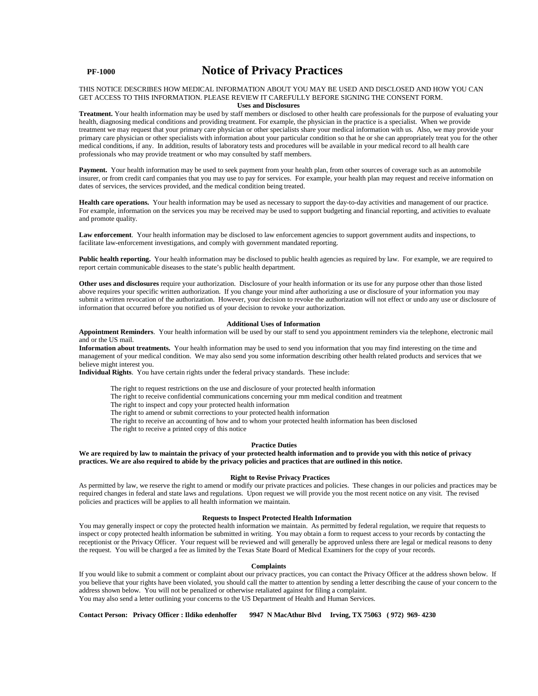## **PF-1000 Notice of Privacy Practices**

#### THIS NOTICE DESCRIBES HOW MEDICAL INFORMATION ABOUT YOU MAY BE USED AND DISCLOSED AND HOW YOU CAN GET ACCESS TO THIS INFORMATION. PLEASE REVIEW IT CAREFULLY BEFORE SIGNING THE CONSENT FORM. **Uses and Disclosures**

**Treatment.** Your health information may be used by staff members or disclosed to other health care professionals for the purpose of evaluating your health, diagnosing medical conditions and providing treatment. For example, the physician in the practice is a specialist. When we provide treatment we may request that your primary care physician or other specialists share your medical information with us. Also, we may provide your primary care physician or other specialists with information about your particular condition so that he or she can appropriately treat you for the other medical conditions, if any. In addition, results of laboratory tests and procedures will be available in your medical record to all health care professionals who may provide treatment or who may consulted by staff members.

Payment. Your health information may be used to seek payment from your health plan, from other sources of coverage such as an automobile insurer, or from credit card companies that you may use to pay for services. For example, your health plan may request and receive information on dates of services, the services provided, and the medical condition being treated.

Health care operations. Your health information may be used as necessary to support the day-to-day activities and management of our practice. For example, information on the services you may be received may be used to support budgeting and financial reporting, and activities to evaluate and promote quality.

Law enforcement. Your health information may be disclosed to law enforcement agencies to support government audits and inspections, to facilitate law-enforcement investigations, and comply with government mandated reporting.

Public health reporting. Your health information may be disclosed to public health agencies as required by law. For example, we are required to report certain communicable diseases to the state's public health department.

**Other uses and disclosures** require your authorization. Disclosure of your health information or its use for any purpose other than those listed above requires your specific written authorization. If you change your mind after authorizing a use or disclosure of your information you may submit a written revocation of the authorization. However, your decision to revoke the authorization will not effect or undo any use or disclosure of information that occurred before you notified us of your decision to revoke your authorization.

#### **Additional Uses of Information**

**Appointment Reminders**. Your health information will be used by our staff to send you appointment reminders via the telephone, electronic mail and or the US mail.

**Information about treatments.** Your health information may be used to send you information that you may find interesting on the time and management of your medical condition. We may also send you some information describing other health related products and services that we believe might interest you.

**Individual Rights**. You have certain rights under the federal privacy standards. These include:

The right to request restrictions on the use and disclosure of your protected health information

The right to receive confidential communications concerning your mm medical condition and treatment

The right to inspect and copy your protected health information

The right to amend or submit corrections to your protected health information

The right to receive an accounting of how and to whom your protected health information has been disclosed

The right to receive a printed copy of this notice

#### **Practice Duties**

## **We are required by law to maintain the privacy of your protected health information and to provide you with this notice of privacy practices. We are also required to abide by the privacy policies and practices that are outlined in this notice.**

#### **Right to Revise Privacy Practices**

As permitted by law, we reserve the right to amend or modify our private practices and policies. These changes in our policies and practices may be required changes in federal and state laws and regulations. Upon request we will provide you the most recent notice on any visit. The revised policies and practices will be applies to all health information we maintain.

## **Requests to Inspect Protected Health Information**

You may generally inspect or copy the protected health information we maintain. As permitted by federal regulation, we require that requests to inspect or copy protected health information be submitted in writing. You may obtain a form to request access to your records by contacting the receptionist or the Privacy Officer. Your request will be reviewed and will generally be approved unless there are legal or medical reasons to deny the request. You will be charged a fee as limited by the Texas State Board of Medical Examiners for the copy of your records.

#### **Complaints**

If you would like to submit a comment or complaint about our privacy practices, you can contact the Privacy Officer at the address shown below. If you believe that your rights have been violated, you should call the matter to attention by sending a letter describing the cause of your concern to the address shown below. You will not be penalized or otherwise retaliated against for filing a complaint. You may also send a letter outlining your concerns to the US Department of Health and Human Services.

**Contact Person: Privacy Officer : Ildiko edenhoffer 9947 N MacAthur Blvd Irving, TX 75063 ( 972) 969- 4230**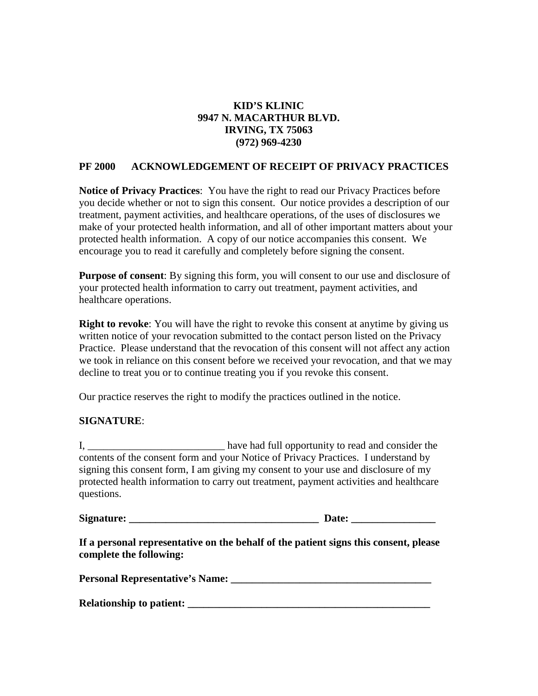## **KID'S KLINIC 9947 N. MACARTHUR BLVD. IRVING, TX 75063 (972) 969-4230**

## **PF 2000 ACKNOWLEDGEMENT OF RECEIPT OF PRIVACY PRACTICES**

**Notice of Privacy Practices**: You have the right to read our Privacy Practices before you decide whether or not to sign this consent. Our notice provides a description of our treatment, payment activities, and healthcare operations, of the uses of disclosures we make of your protected health information, and all of other important matters about your protected health information. A copy of our notice accompanies this consent. We encourage you to read it carefully and completely before signing the consent.

**Purpose of consent**: By signing this form, you will consent to our use and disclosure of your protected health information to carry out treatment, payment activities, and healthcare operations.

**Right to revoke**: You will have the right to revoke this consent at anytime by giving us written notice of your revocation submitted to the contact person listed on the Privacy Practice. Please understand that the revocation of this consent will not affect any action we took in reliance on this consent before we received your revocation, and that we may decline to treat you or to continue treating you if you revoke this consent.

Our practice reserves the right to modify the practices outlined in the notice.

## **SIGNATURE**:

I, \_\_\_\_\_\_\_\_\_\_\_\_\_\_\_\_\_\_\_\_\_\_\_\_\_\_ have had full opportunity to read and consider the contents of the consent form and your Notice of Privacy Practices. I understand by signing this consent form, I am giving my consent to your use and disclosure of my protected health information to carry out treatment, payment activities and healthcare questions.

**Signature:**  $\qquad \qquad$  **Date:**  $\qquad \qquad$ 

**If a personal representative on the behalf of the patient signs this consent, please complete the following:**

| <b>Personal Representative's Name:</b> |  |
|----------------------------------------|--|
|----------------------------------------|--|

| <b>Relationship to patient:</b> |  |
|---------------------------------|--|
|                                 |  |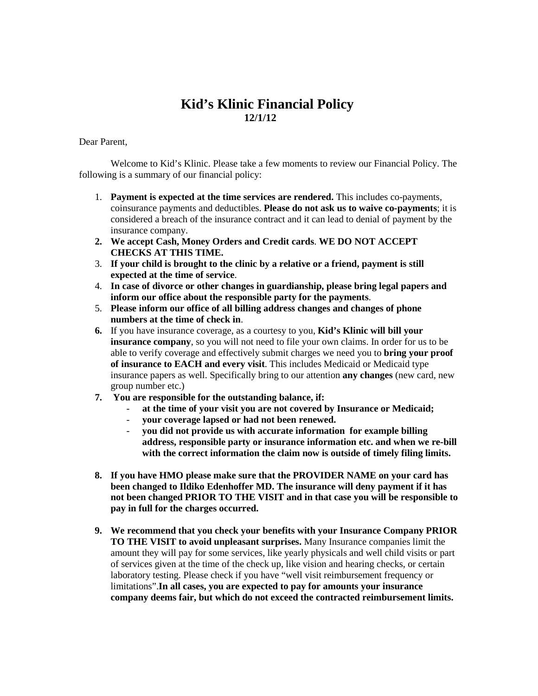# **Kid's Klinic Financial Policy 12/1/12**

Dear Parent,

Welcome to Kid's Klinic. Please take a few moments to review our Financial Policy. The following is a summary of our financial policy:

- 1. **Payment is expected at the time services are rendered.** This includes co-payments, coinsurance payments and deductibles. **Please do not ask us to waive co-payments**; it is considered a breach of the insurance contract and it can lead to denial of payment by the insurance company.
- **2. We accept Cash, Money Orders and Credit cards**. **WE DO NOT ACCEPT CHECKS AT THIS TIME.**
- 3. **If your child is brought to the clinic by a relative or a friend, payment is still expected at the time of service**.
- 4. **In case of divorce or other changes in guardianship, please bring legal papers and inform our office about the responsible party for the payments**.
- 5. **Please inform our office of all billing address changes and changes of phone numbers at the time of check in**.
- **6.** If you have insurance coverage, as a courtesy to you, **Kid's Klinic will bill your insurance company**, so you will not need to file your own claims. In order for us to be able to verify coverage and effectively submit charges we need you to **bring your proof of insurance to EACH and every visit**. This includes Medicaid or Medicaid type insurance papers as well. Specifically bring to our attention **any changes** (new card, new group number etc.)
- **7. You are responsible for the outstanding balance, if:**
	- **at the time of your visit you are not covered by Insurance or Medicaid;**
	- **your coverage lapsed or had not been renewed.**
	- **you did not provide us with accurate information for example billing address, responsible party or insurance information etc. and when we re-bill with the correct information the claim now is outside of timely filing limits.**
- **8. If you have HMO please make sure that the PROVIDER NAME on your card has been changed to Ildiko Edenhoffer MD. The insurance will deny payment if it has not been changed PRIOR TO THE VISIT and in that case you will be responsible to pay in full for the charges occurred.**
- **9. We recommend that you check your benefits with your Insurance Company PRIOR TO THE VISIT to avoid unpleasant surprises.** Many Insurance companies limit the amount they will pay for some services, like yearly physicals and well child visits or part of services given at the time of the check up, like vision and hearing checks, or certain laboratory testing. Please check if you have "well visit reimbursement frequency or limitations".**In all cases, you are expected to pay for amounts your insurance company deems fair, but which do not exceed the contracted reimbursement limits.**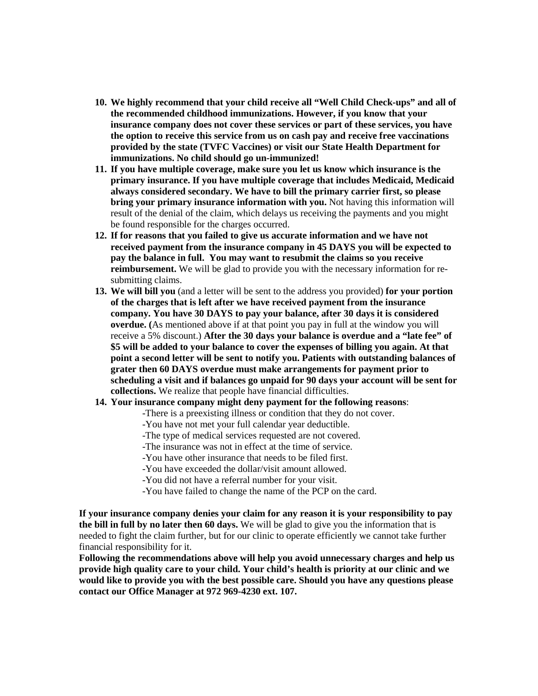- **10. We highly recommend that your child receive all "Well Child Check-ups" and all of the recommended childhood immunizations. However, if you know that your insurance company does not cover these services or part of these services, you have the option to receive this service from us on cash pay and receive free vaccinations provided by the state (TVFC Vaccines) or visit our State Health Department for immunizations. No child should go un-immunized!**
- **11. If you have multiple coverage, make sure you let us know which insurance is the primary insurance. If you have multiple coverage that includes Medicaid, Medicaid always considered secondary. We have to bill the primary carrier first, so please bring your primary insurance information with you.** Not having this information will result of the denial of the claim, which delays us receiving the payments and you might be found responsible for the charges occurred.
- **12. If for reasons that you failed to give us accurate information and we have not received payment from the insurance company in 45 DAYS you will be expected to pay the balance in full. You may want to resubmit the claims so you receive reimbursement.** We will be glad to provide you with the necessary information for resubmitting claims.
- **13. We will bill you** (and a letter will be sent to the address you provided) **for your portion of the charges that is left after we have received payment from the insurance company. You have 30 DAYS to pay your balance, after 30 days it is considered overdue. (**As mentioned above if at that point you pay in full at the window you will receive a 5% discount.) **After the 30 days your balance is overdue and a "late fee" of \$5 will be added to your balance to cover the expenses of billing you again. At that point a second letter will be sent to notify you. Patients with outstanding balances of grater then 60 DAYS overdue must make arrangements for payment prior to scheduling a visit and if balances go unpaid for 90 days your account will be sent for collections.** We realize that people have financial difficulties.
- **14. Your insurance company might deny payment for the following reasons**:
	- -There is a preexisting illness or condition that they do not cover.
	- -You have not met your full calendar year deductible.
	- -The type of medical services requested are not covered.
	- -The insurance was not in effect at the time of service.
	- -You have other insurance that needs to be filed first.
	- -You have exceeded the dollar/visit amount allowed.
	- -You did not have a referral number for your visit.
	- -You have failed to change the name of the PCP on the card.

**If your insurance company denies your claim for any reason it is your responsibility to pay the bill in full by no later then 60 days.** We will be glad to give you the information that is needed to fight the claim further, but for our clinic to operate efficiently we cannot take further financial responsibility for it.

**Following the recommendations above will help you avoid unnecessary charges and help us provide high quality care to your child. Your child's health is priority at our clinic and we would like to provide you with the best possible care. Should you have any questions please contact our Office Manager at 972 969-4230 ext. 107.**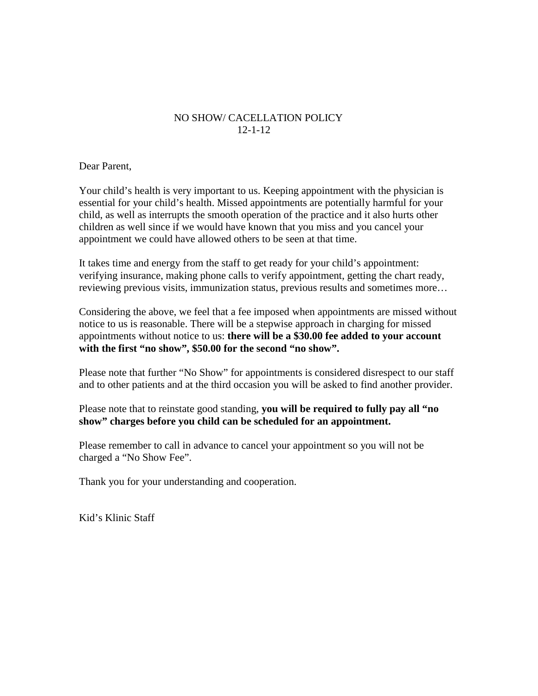## NO SHOW/ CACELLATION POLICY 12-1-12

Dear Parent,

Your child's health is very important to us. Keeping appointment with the physician is essential for your child's health. Missed appointments are potentially harmful for your child, as well as interrupts the smooth operation of the practice and it also hurts other children as well since if we would have known that you miss and you cancel your appointment we could have allowed others to be seen at that time.

It takes time and energy from the staff to get ready for your child's appointment: verifying insurance, making phone calls to verify appointment, getting the chart ready, reviewing previous visits, immunization status, previous results and sometimes more…

Considering the above, we feel that a fee imposed when appointments are missed without notice to us is reasonable. There will be a stepwise approach in charging for missed appointments without notice to us: **there will be a \$30.00 fee added to your account with the first "no show", \$50.00 for the second "no show".** 

Please note that further "No Show" for appointments is considered disrespect to our staff and to other patients and at the third occasion you will be asked to find another provider.

Please note that to reinstate good standing, **you will be required to fully pay all "no show" charges before you child can be scheduled for an appointment.** 

Please remember to call in advance to cancel your appointment so you will not be charged a "No Show Fee".

Thank you for your understanding and cooperation.

Kid's Klinic Staff